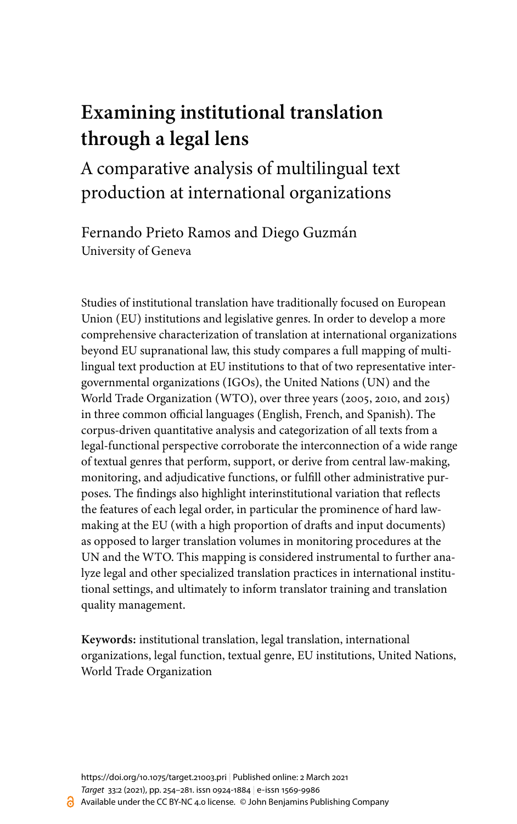# **Examining institutional translation through a legal lens**

# A comparative analysis of multilingual text production at international organizations

Fernando Prieto Ramos and Diego Guzmán University of Geneva

Studies of institutional translation have traditionally focused on European Union (EU) institutions and legislative genres. In order to develop a more comprehensive characterization of translation at international organizations beyond EU supranational law, this study compares a full mapping of multilingual text production at EU institutions to that of two representative intergovernmental organizations (IGOs), the United Nations (UN) and the World Trade Organization (WTO), over three years (2005, 2010, and 2015) in three common official languages (English, French, and Spanish). The corpus-driven quantitative analysis and categorization of all texts from a legal-functional perspective corroborate the interconnection of a wide range of textual genres that perform, support, or derive from central law-making, monitoring, and adjudicative functions, or fulfill other administrative purposes. The findings also highlight interinstitutional variation that reflects the features of each legal order, in particular the prominence of hard lawmaking at the EU (with a high proportion of drafts and input documents) as opposed to larger translation volumes in monitoring procedures at the UN and the WTO. This mapping is considered instrumental to further analyze legal and other specialized translation practices in international institutional settings, and ultimately to inform translator training and translation quality management.

**Keywords:** institutional translation, legal translation, international organizations, legal function, textual genre, EU institutions, United Nations, World Trade Organization

<https://doi.org/10.1075/target.21003.pri> | Published online: 2 March 2021 *Target* [33:2](/exist/apps/journals.benjamins.com/target/list/issue/target.33.2) (2021), pp. 254[–281.](#page-27-0) issn 0924-1884 | e‑issn 1569-9986 Available under the CC BY-NC 4.0 license. © John Benjamins Publishing Company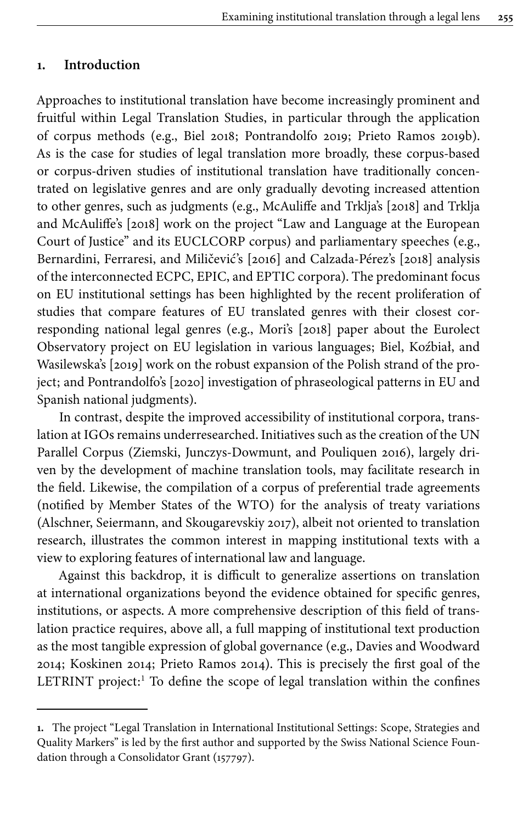#### **1. Introduction**

Approaches to institutional translation have become increasingly prominent and fruitful within Legal Translation Studies, in particular through the application of corpus methods (e.g., [Biel 2018](#page-17-0); [Pontrandolfo 2019;](#page-18-0) [Prieto Ramos 2019b\)](#page-18-1). As is the case for studies of legal translation more broadly, these corpus-based or corpus-driven studies of institutional translation have traditionally concentrated on legislative genres and are only gradually devoting increased attention to other genres, such as judgments (e.g., [McAuliffe and Trklja's \[2018\]](#page-18-2) and [Trklja](#page-19-0) [and McAuliffe's \[2018\]](#page-19-0) work on the project "Law and Language at the European Court of Justice" and its EUCLCORP corpus) and parliamentary speeches (e.g., [Bernardini, Ferraresi, and Miličević's \[2016\]](#page-17-1) and [Calzada-Pérez's \[2018\]](#page-17-2) analysis of the interconnected ECPC, EPIC, and EPTIC corpora). The predominant focus on EU institutional settings has been highlighted by the recent proliferation of studies that compare features of EU translated genres with their closest corresponding national legal genres (e.g., [Mori's \[2018\]](#page-18-3) paper about the Eurolect Observatory project on EU legislation in various languages; [Biel, Koźbiał, and](#page-17-3) [Wasilewska's \[2019\]](#page-17-3) work on the robust expansion of the Polish strand of the project; and [Pontrandolfo's \[2020\]](#page-18-4) investigation of phraseological patterns in EU and Spanish national judgments).

In contrast, despite the improved accessibility of institutional corpora, translation at IGOs remains underresearched. Initiatives such as the creation of the UN Parallel Corpus (Ziemski, [Junczys-Dowmunt, and Pouliquen 2016\)](#page-19-1), largely driven by the development of machine translation tools, may facilitate research in the field. Likewise, the compilation of a corpus of preferential trade agreements (notified by Member States of the WTO) for the analysis of treaty variations [\(Alschner, Seiermann, and Skougarevskiy 2017\)](#page-17-4), albeit not oriented to translation research, illustrates the common interest in mapping institutional texts with a view to exploring features of international law and language.

Against this backdrop, it is difficult to generalize assertions on translation at international organizations beyond the evidence obtained for specific genres, institutions, or aspects. A more comprehensive description of this field of translation practice requires, above all, a full mapping of institutional text production as the most tangible expression of global governance (e.g., [Davies and Woodward](#page-17-5) [2014](#page-17-5); [Koskinen 2014](#page-17-6); [Prieto Ramos 2014\)](#page-18-5). This is precisely the first goal of the LETRINT project:<sup>1</sup> To define the scope of legal translation within the confines

**<sup>1.</sup>** The project "Legal Translation in International Institutional Settings: Scope, Strategies and Quality Markers" is led by the first author and supported by the Swiss National Science Foundation through a Consolidator Grant (157797).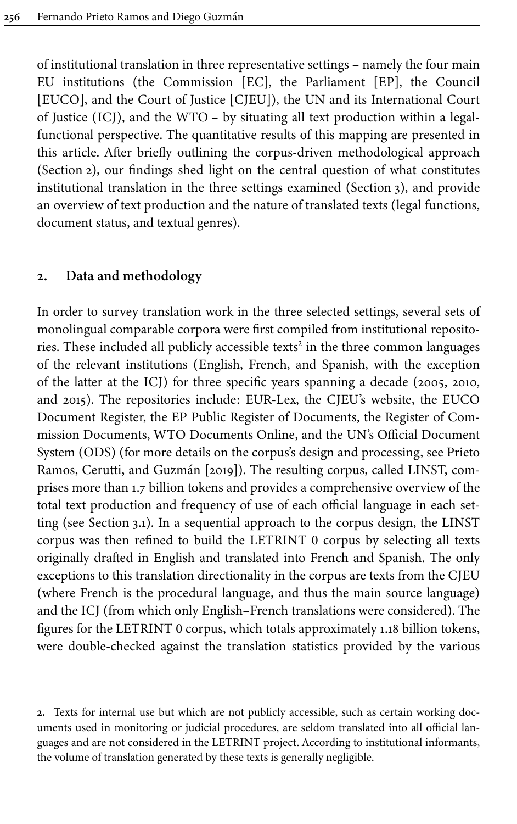of institutional translation in three representative settings – namely the four main EU institutions (the Commission [EC], the Parliament [EP], the Council [EUCO], and the Court of Justice [CJEU]), the UN and its International Court of Justice (ICJ), and the WTO – by situating all text production within a legalfunctional perspective. The quantitative results of this mapping are presented in this article. After briefly outlining the corpus-driven methodological approach [\(Section](#page-2-0) 2), our findings shed light on the central question of what constitutes institutional translation in the three settings examined [\(Section](#page-4-0) 3), and provide an overview of text production and the nature of translated texts (legal functions, document status, and textual genres).

## <span id="page-2-0"></span>**2. Data and methodology**

In order to survey translation work in the three selected settings, several sets of monolingual comparable corpora were first compiled from institutional repositories. These included all publicly accessible texts $^2$  in the three common languages of the relevant institutions (English, French, and Spanish, with the exception of the latter at the ICJ) for three specific years spanning a decade (2005, 2010, and 2015). The repositories include: EUR-Lex, the CJEU's website, the EUCO Document Register, the EP Public Register of Documents, the Register of Commission Documents, WTO Documents Online, and the UN's Official Document System (ODS) (for more details on the corpus's design and processing, see [Prieto](#page-18-6) [Ramos, Cerutti, and Guzmán \[2019\]\)](#page-18-6). The resulting corpus, called LINST, comprises more than 1.7 billion tokens and provides a comprehensive overview of the total text production and frequency of use of each official language in each setting (see [Section](#page-4-1) 3.1). In a sequential approach to the corpus design, the LINST corpus was then refined to build the LETRINT 0 corpus by selecting all texts originally drafted in English and translated into French and Spanish. The only exceptions to this translation directionality in the corpus are texts from the CJEU (where French is the procedural language, and thus the main source language) and the ICJ (from which only English–French translations were considered). The figures for the LETRINT 0 corpus, which totals approximately 1.18 billion tokens, were double-checked against the translation statistics provided by the various

**<sup>2.</sup>** Texts for internal use but which are not publicly accessible, such as certain working documents used in monitoring or judicial procedures, are seldom translated into all official languages and are not considered in the LETRINT project. According to institutional informants, the volume of translation generated by these texts is generally negligible.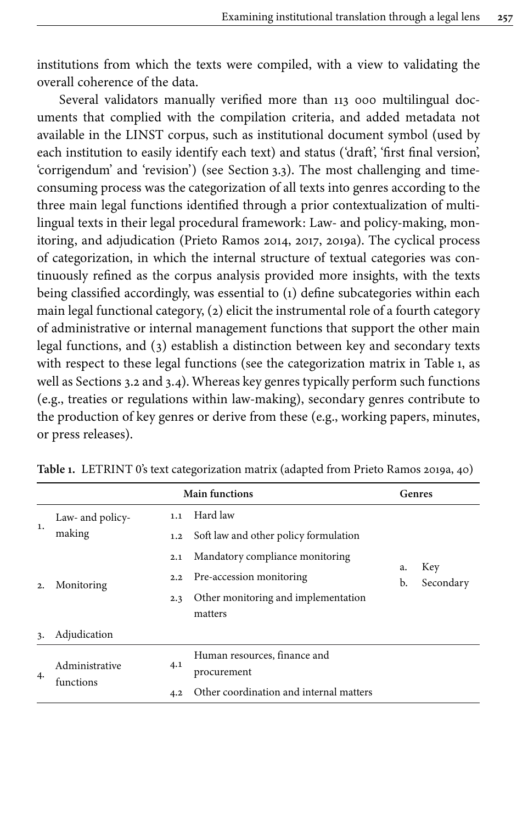institutions from which the texts were compiled, with a view to validating the overall coherence of the data.

Several validators manually verified more than 113 000 multilingual documents that complied with the compilation criteria, and added metadata not available in the LINST corpus, such as institutional document symbol (used by each institution to easily identify each text) and status ('draft', 'first final version', 'corrigendum' and 'revision') (see [Section](#page-10-0) 3.3). The most challenging and timeconsuming process was the categorization of all texts into genres according to the three main legal functions identified through a prior contextualization of multilingual texts in their legal procedural framework: Law- and policy-making, monitoring, and adjudication [\(Prieto Ramos 2014](#page-18-5), [2017,](#page-18-7) [2019a\)](#page-18-8). The cyclical process of categorization, in which the internal structure of textual categories was continuously refined as the corpus analysis provided more insights, with the texts being classified accordingly, was essential to (1) define subcategories within each main legal functional category, (2) elicit the instrumental role of a fourth category of administrative or internal management functions that support the other main legal functions, and (3) establish a distinction between key and secondary texts with respect to these legal functions (see the categorization matrix in [Table](#page-3-0) 1, as well as [Sections](#page-6-0) 3.2 and [3.4](#page-13-0)). Whereas key genres typically perform such functions (e.g., treaties or regulations within law-making), secondary genres contribute to the production of key genres or derive from these (e.g., working papers, minutes, or press releases).

| <b>Main functions</b> |                                           |     |                                         |          | Genres           |
|-----------------------|-------------------------------------------|-----|-----------------------------------------|----------|------------------|
|                       | Law- and policy-                          | 1.1 | Hard law                                |          |                  |
| 1.                    | making                                    | 1.2 | Soft law and other policy formulation   |          |                  |
| 2.                    | 2.1<br>2.2<br>Monitoring<br>2.3           |     | Mandatory compliance monitoring         |          |                  |
|                       |                                           |     | Pre-accession monitoring                | a.<br>b. | Key<br>Secondary |
|                       |                                           |     | Other monitoring and implementation     |          |                  |
|                       |                                           |     | matters                                 |          |                  |
| 3.                    | Adjudication                              |     |                                         |          |                  |
|                       |                                           |     | Human resources, finance and            |          |                  |
| 4.                    | Administrative<br>4.1<br>functions<br>4.2 |     | procurement                             |          |                  |
|                       |                                           |     | Other coordination and internal matters |          |                  |

<span id="page-3-0"></span>**Table 1.** LETRINT 0's text categorization matrix (adapted from [Prieto Ramos 2019a](#page-18-8), 40)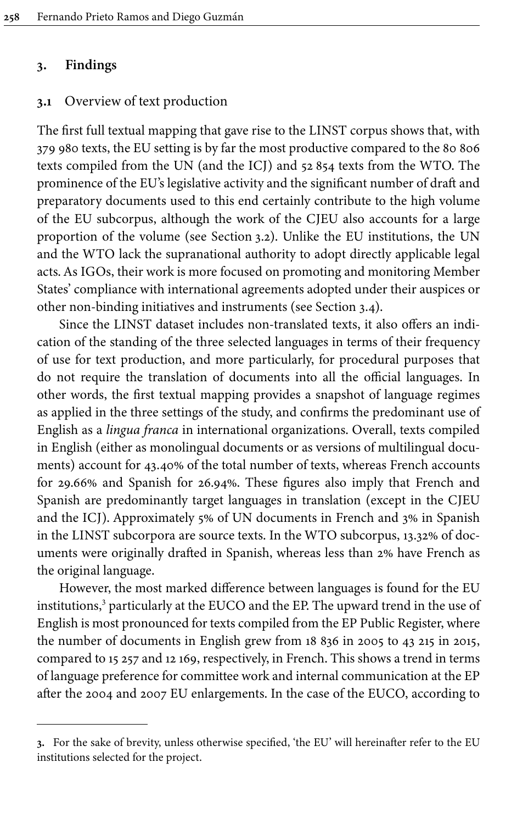#### <span id="page-4-0"></span>**3. Findings**

### <span id="page-4-1"></span>**3.1** Overview of text production

The first full textual mapping that gave rise to the LINST corpus shows that, with 379 980 texts, the EU setting is by far the most productive compared to the 80 806 texts compiled from the UN (and the ICJ) and 52 854 texts from the WTO. The prominence of the EU's legislative activity and the significant number of draft and preparatory documents used to this end certainly contribute to the high volume of the EU subcorpus, although the work of the CJEU also accounts for a large proportion of the volume (see [Section](#page-6-0) 3.2). Unlike the EU institutions, the UN and the WTO lack the supranational authority to adopt directly applicable legal acts. As IGOs, their work is more focused on promoting and monitoring Member States' compliance with international agreements adopted under their auspices or other non-binding initiatives and instruments (see [Section](#page-13-0) 3.4).

Since the LINST dataset includes non-translated texts, it also offers an indication of the standing of the three selected languages in terms of their frequency of use for text production, and more particularly, for procedural purposes that do not require the translation of documents into all the official languages. In other words, the first textual mapping provides a snapshot of language regimes as applied in the three settings of the study, and confirms the predominant use of English as a *lingua franca* in international organizations. Overall, texts compiled in English (either as monolingual documents or as versions of multilingual documents) account for 43.40% of the total number of texts, whereas French accounts for 29.66% and Spanish for 26.94%. These figures also imply that French and Spanish are predominantly target languages in translation (except in the CJEU and the ICJ). Approximately 5% of UN documents in French and 3% in Spanish in the LINST subcorpora are source texts. In the WTO subcorpus, 13.32% of documents were originally drafted in Spanish, whereas less than 2% have French as the original language.

However, the most marked difference between languages is found for the EU institutions, <sup>3</sup> particularly at the EUCO and the EP. The upward trend in the use of English is most pronounced for texts compiled from the EP Public Register, where the number of documents in English grew from 18 836 in 2005 to 43 215 in 2015, compared to 15 257 and 12 169, respectively, in French. This shows a trend in terms of language preference for committee work and internal communication at the EP after the 2004 and 2007 EU enlargements. In the case of the EUCO, according to

**<sup>3.</sup>** For the sake of brevity, unless otherwise specified, 'the EU' will hereinafter refer to the EU institutions selected for the project.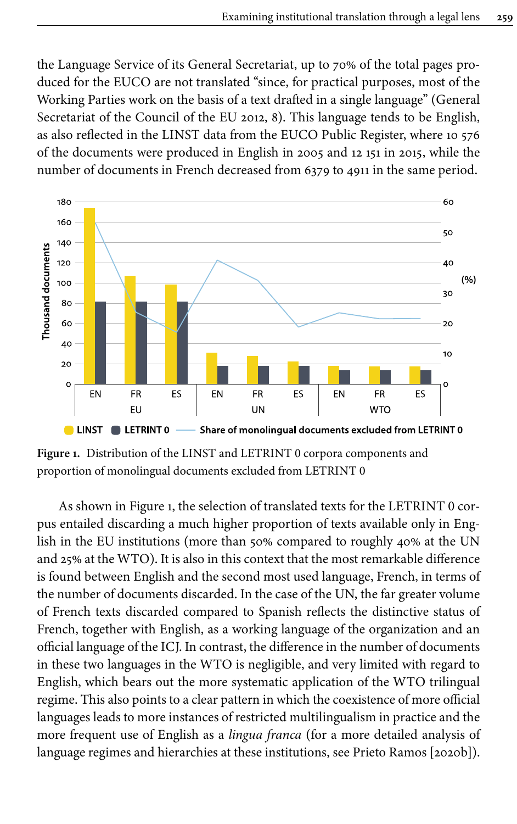the Language Service of its General Secretariat, up to 70% of the total pages produced for the EUCO are not translated "since, for practical purposes, most of the Working Parties work on the basis of a text drafted in a single language" ([General](#page-17-7) [Secretariat of the Council of the EU 2012](#page-17-7), 8). This language tends to be English, as also reflected in the LINST data from the EUCO Public Register, where 10 576 of the documents were produced in English in 2005 and 12 151 in 2015, while the number of documents in French decreased from 6379 to 4911 in the same period.

<span id="page-5-0"></span>

**Figure 1.** Distribution of the LINST and LETRINT 0 corpora components and proportion of monolingual documents excluded from LETRINT 0

As shown in [Figure](#page-5-0) 1, the selection of translated texts for the LETRINT 0 corpus entailed discarding a much higher proportion of texts available only in English in the EU institutions (more than 50% compared to roughly 40% at the UN and 25% at the WTO). It is also in this context that the most remarkable difference is found between English and the second most used language, French, in terms of the number of documents discarded. In the case of the UN, the far greater volume of French texts discarded compared to Spanish reflects the distinctive status of French, together with English, as a working language of the organization and an official language of the ICJ. In contrast, the difference in the number of documents in these two languages in the WTO is negligible, and very limited with regard to English, which bears out the more systematic application of the WTO trilingual regime. This also points to a clear pattern in which the coexistence of more official languages leads to more instances of restricted multilingualism in practice and the more frequent use of English as a *lingua franca* (for a more detailed analysis of language regimes and hierarchies at these institutions, see [Prieto Ramos \[2020b\]\)](#page-18-9).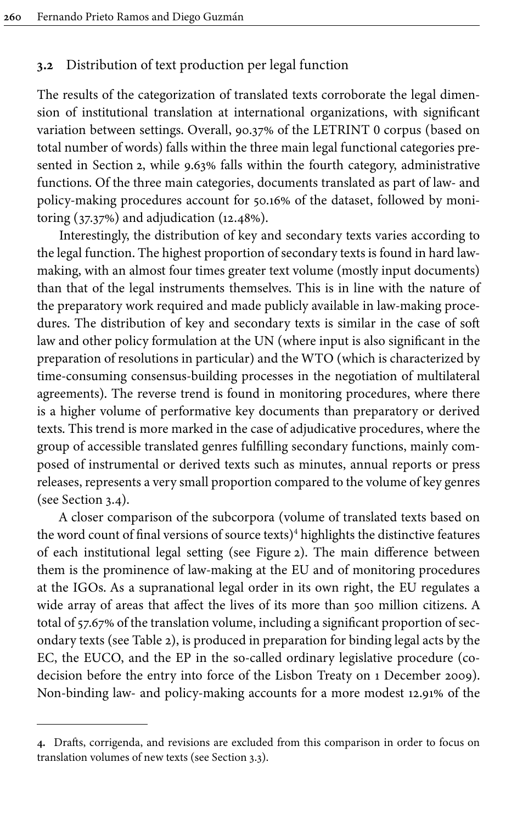## <span id="page-6-0"></span>**3.2** Distribution of text production per legal function

The results of the categorization of translated texts corroborate the legal dimension of institutional translation at international organizations, with significant variation between settings. Overall, 90.37% of the LETRINT 0 corpus (based on total number of words) falls within the three main legal functional categories presented in [Section](#page-2-0) 2, while 9.63% falls within the fourth category, administrative functions. Of the three main categories, documents translated as part of law- and policy-making procedures account for 50.16% of the dataset, followed by monitoring (37.37%) and adjudication (12.48%).

Interestingly, the distribution of key and secondary texts varies according to the legal function. The highest proportion of secondary texts is found in hard lawmaking, with an almost four times greater text volume (mostly input documents) than that of the legal instruments themselves. This is in line with the nature of the preparatory work required and made publicly available in law-making procedures. The distribution of key and secondary texts is similar in the case of soft law and other policy formulation at the UN (where input is also significant in the preparation of resolutions in particular) and the WTO (which is characterized by time-consuming consensus-building processes in the negotiation of multilateral agreements). The reverse trend is found in monitoring procedures, where there is a higher volume of performative key documents than preparatory or derived texts. This trend is more marked in the case of adjudicative procedures, where the group of accessible translated genres fulfilling secondary functions, mainly composed of instrumental or derived texts such as minutes, annual reports or press releases, represents a very small proportion compared to the volume of key genres (see [Section](#page-13-0) 3.4).

A closer comparison of the subcorpora (volume of translated texts based on the word count of final versions of source texts)<sup>4</sup> highlights the distinctive features of each institutional legal setting (see [Figure](#page-8-0) 2). The main difference between them is the prominence of law-making at the EU and of monitoring procedures at the IGOs. As a supranational legal order in its own right, the EU regulates a wide array of areas that affect the lives of its more than 500 million citizens. A total of 57.67% of the translation volume, including a significant proportion of secondary texts (see [Table](#page-7-0) 2), is produced in preparation for binding legal acts by the EC, the EUCO, and the EP in the so-called ordinary legislative procedure (codecision before the entry into force of the Lisbon Treaty on 1 December 2009). Non-binding law- and policy-making accounts for a more modest 12.91% of the

**<sup>4.</sup>** Drafts, corrigenda, and revisions are excluded from this comparison in order to focus on translation volumes of new texts (see [Section](#page-10-0) 3.3).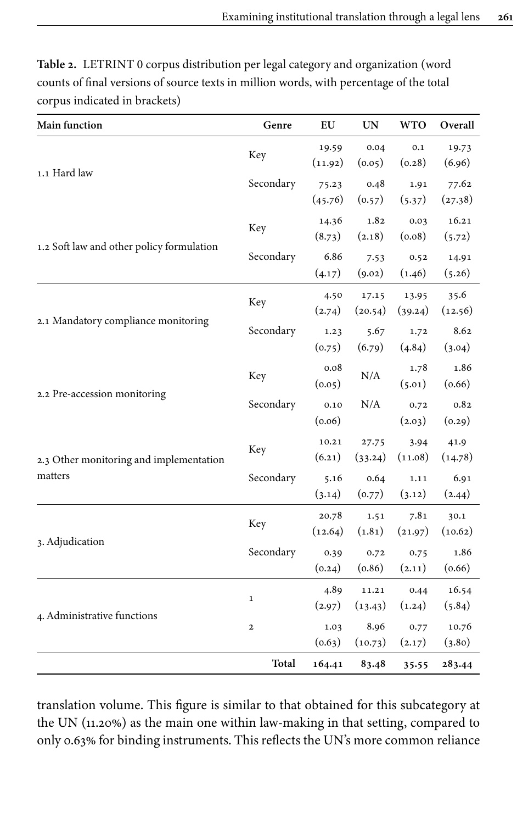| Main function                             | Genre          | EU               | <b>UN</b>        | <b>WTO</b>       | Overall          |
|-------------------------------------------|----------------|------------------|------------------|------------------|------------------|
|                                           | Key            | 19.59<br>(11.92) | 0.04<br>(0.05)   | 0.1<br>(0.28)    | 19.73<br>(6.96)  |
| 1.1 Hard law                              | Secondary      | 75.23<br>(45.76) | 0.48<br>(0.57)   | 1.91<br>(5.37)   | 77.62<br>(27.38) |
|                                           | Key            | 14.36<br>(8.73)  | 1.82<br>(2.18)   | 0.03<br>(0.08)   | 16.21<br>(5.72)  |
| 1.2 Soft law and other policy formulation | Secondary      | 6.86<br>(4.17)   | 7.53<br>(9.02)   | 0.52<br>(1.46)   | 14.91<br>(5.26)  |
|                                           | Key            | 4.50<br>(2.74)   | 17.15<br>(20.54) | 13.95<br>(39.24) | 35.6<br>(12.56)  |
| 2.1 Mandatory compliance monitoring       | Secondary      | 1.23<br>(0.75)   | 5.67<br>(6.79)   | 1.72<br>(4.84)   | 8.62<br>(3.04)   |
|                                           | Key            | 0.08<br>(0.05)   | N/A              | 1.78<br>(5.01)   | 1.86<br>(0.66)   |
| 2.2 Pre-accession monitoring              | Secondary      | 0.10<br>(0.06)   | N/A              | 0.72<br>(2.03)   | 0.82<br>(0.29)   |
| 2.3 Other monitoring and implementation   | Key            | 10.21<br>(6.21)  | 27.75<br>(33.24) | 3.94<br>(11.08)  | 41.9<br>(14.78)  |
| matters                                   | Secondary      | 5.16<br>(3.14)   | 0.64<br>(0.77)   | 1.11<br>(3.12)   | 6.91<br>(2.44)   |
|                                           | Key            | 20.78<br>(12.64) | 1.51<br>(1.81)   | 7.81<br>(21.97)  | 30.1<br>(10.62)  |
| 3. Adjudication                           | Secondary      | 0.39<br>(0.24)   | 0.72<br>(0.86)   | 0.75<br>(2.11)   | 1.86<br>(0.66)   |
|                                           | $\mathbf 1$    | 4.89<br>(2.97)   | 11.21<br>(13.43) | 0.44<br>(1.24)   | 16.54<br>(5.84)  |
| 4. Administrative functions               | $\overline{2}$ | 1.03<br>(0.63)   | 8.96<br>(10.73)  | 0.77<br>(2.17)   | 10.76<br>(3.80)  |
|                                           | Total          | 164.41           | 83.48            | 35.55            | 283.44           |

<span id="page-7-0"></span>**Table 2.** LETRINT 0 corpus distribution per legal category and organization (word counts of final versions of source texts in million words, with percentage of the total corpus indicated in brackets)

translation volume. This figure is similar to that obtained for this subcategory at the UN (11.20%) as the main one within law-making in that setting, compared to only 0.63% for binding instruments. This reflects the UN's more common reliance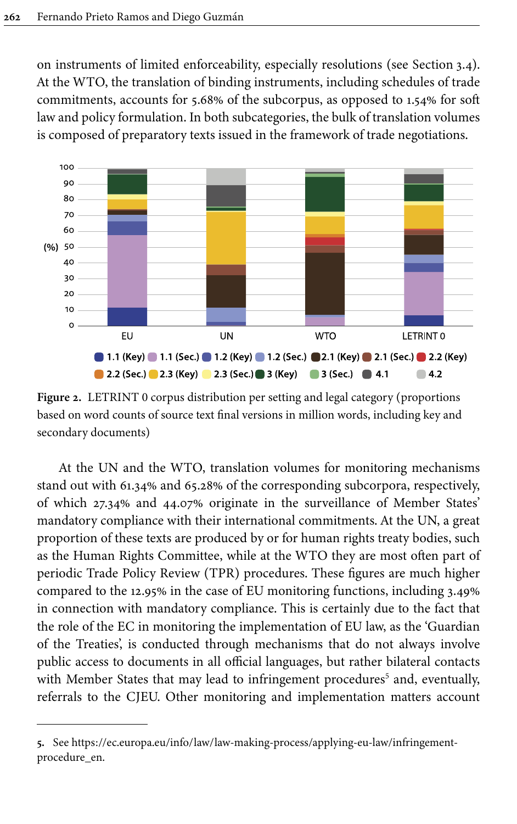on instruments of limited enforceability, especially resolutions (see [Section](#page-13-0) 3.4). At the WTO, the translation of binding instruments, including schedules of trade commitments, accounts for 5.68% of the subcorpus, as opposed to 1.54% for soft law and policy formulation. In both subcategories, the bulk of translation volumes is composed of preparatory texts issued in the framework of trade negotiations.

<span id="page-8-0"></span>

**Figure 2.** LETRINT 0 corpus distribution per setting and legal category (proportions based on word counts of source text final versions in million words, including key and secondary documents)

At the UN and the WTO, translation volumes for monitoring mechanisms stand out with 61.34% and 65.28% of the corresponding subcorpora, respectively, of which 27.34% and 44.07% originate in the surveillance of Member States' mandatory compliance with their international commitments. At the UN, a great proportion of these texts are produced by or for human rights treaty bodies, such as the Human Rights Committee, while at the WTO they are most often part of periodic Trade Policy Review (TPR) procedures. These figures are much higher compared to the 12.95% in the case of EU monitoring functions, including 3.49% in connection with mandatory compliance. This is certainly due to the fact that the role of the EC in monitoring the implementation of EU law, as the 'Guardian of the Treaties', is conducted through mechanisms that do not always involve public access to documents in all official languages, but rather bilateral contacts with Member States that may lead to infringement procedures<sup>5</sup> and, eventually, referrals to the CJEU. Other monitoring and implementation matters account

**<sup>5.</sup>** See [https://ec.europa.eu/info/law/law-making-process/applying-eu-law/infringement](https://ec.europa.eu/info/law/law-making-process/applying-eu-law/infringement-procedure_en)[procedure\\_en.](https://ec.europa.eu/info/law/law-making-process/applying-eu-law/infringement-procedure_en)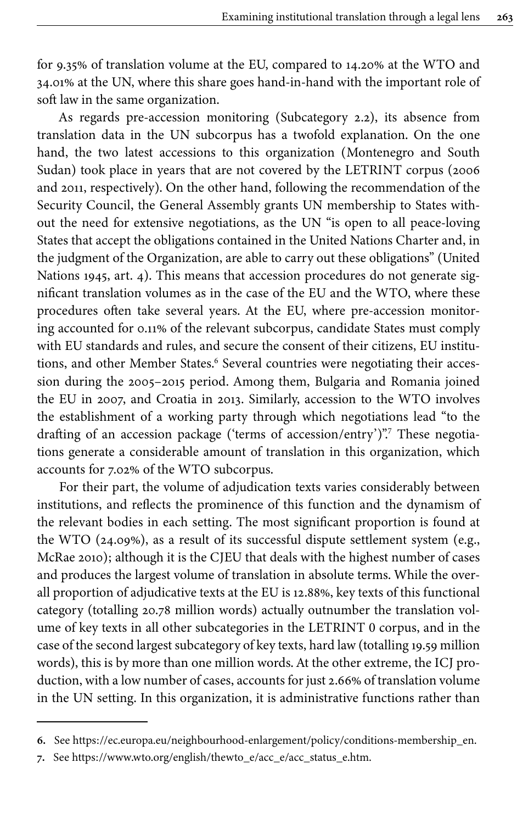for 9.35% of translation volume at the EU, compared to 14.20% at the WTO and 34.01% at the UN, where this share goes hand-in-hand with the important role of soft law in the same organization.

As regards pre-accession monitoring (Subcategory 2.2), its absence from translation data in the UN subcorpus has a twofold explanation. On the one hand, the two latest accessions to this organization (Montenegro and South Sudan) took place in years that are not covered by the LETRINT corpus (2006 and 2011, respectively). On the other hand, following the recommendation of the Security Council, the General Assembly grants UN membership to States without the need for extensive negotiations, as the UN "is open to all peace-loving States that accept the obligations contained in the United Nations Charter and, in the judgment of the Organization, are able to carry out these obligations" ([United](#page-19-2) [Nations 1945](#page-19-2), art. 4). This means that accession procedures do not generate significant translation volumes as in the case of the EU and the WTO, where these procedures often take several years. At the EU, where pre-accession monitoring accounted for 0.11% of the relevant subcorpus, candidate States must comply with EU standards and rules, and secure the consent of their citizens, EU institutions, and other Member States.<sup>6</sup> Several countries were negotiating their accession during the 2005–2015 period. Among them, Bulgaria and Romania joined the EU in 2007, and Croatia in 2013. Similarly, accession to the WTO involves the establishment of a working party through which negotiations lead "to the drafting of an accession package ('terms of accession/entry')". <sup>7</sup> These negotiations generate a considerable amount of translation in this organization, which accounts for 7.02% of the WTO subcorpus.

For their part, the volume of adjudication texts varies considerably between institutions, and reflects the prominence of this function and the dynamism of the relevant bodies in each setting. The most significant proportion is found at the WTO (24.09%), as a result of its successful dispute settlement system (e.g., [McRae 2010](#page-18-10)); although it is the CJEU that deals with the highest number of cases and produces the largest volume of translation in absolute terms. While the overall proportion of adjudicative texts at the EU is 12.88%, key texts of this functional category (totalling 20.78 million words) actually outnumber the translation volume of key texts in all other subcategories in the LETRINT 0 corpus, and in the case of the second largest subcategory of key texts, hard law (totalling 19.59 million words), this is by more than one million words. At the other extreme, the ICJ production, with a low number of cases, accounts for just 2.66% of translation volume in the UN setting. In this organization, it is administrative functions rather than

**<sup>6.</sup>** See [https://ec.europa.eu/neighbourhood-enlargement/policy/conditions-membership\\_en](https://ec.europa.eu/neighbourhood-enlargement/policy/conditions-membership_en).

**<sup>7.</sup>** See [https://www.wto.org/english/thewto\\_e/acc\\_e/acc\\_status\\_e.htm](https://www.wto.org/english/thewto_e/acc_e/acc_status_e.htm).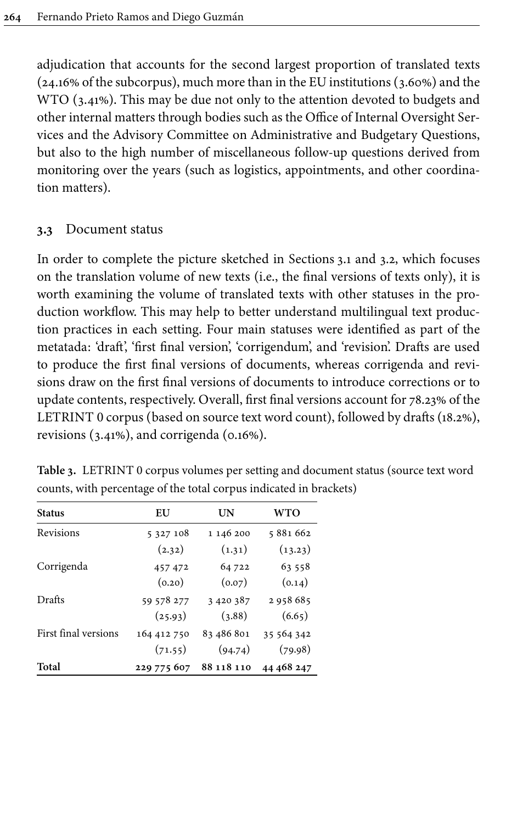adjudication that accounts for the second largest proportion of translated texts (24.16% of the subcorpus), much more than in the EU institutions (3.60%) and the WTO (3.41%). This may be due not only to the attention devoted to budgets and other internal matters through bodies such as the Office of Internal Oversight Services and the Advisory Committee on Administrative and Budgetary Questions, but also to the high number of miscellaneous follow-up questions derived from monitoring over the years (such as logistics, appointments, and other coordination matters).

## <span id="page-10-0"></span>**3.3** Document status

In order to complete the picture sketched in [Sections](#page-4-1) 3.1 and [3.2](#page-6-0), which focuses on the translation volume of new texts (i.e., the final versions of texts only), it is worth examining the volume of translated texts with other statuses in the production workflow. This may help to better understand multilingual text production practices in each setting. Four main statuses were identified as part of the metatada: 'draft', 'first final version', 'corrigendum', and 'revision'. Drafts are used to produce the first final versions of documents, whereas corrigenda and revisions draw on the first final versions of documents to introduce corrections or to update contents, respectively. Overall, first final versions account for 78.23% of the LETRINT 0 corpus (based on source text word count), followed by drafts (18.2%), revisions (3.41%), and corrigenda (0.16%).

| <b>Status</b>        | EU            | UN            | <b>WTO</b> |
|----------------------|---------------|---------------|------------|
| Revisions            | 5 3 2 7 1 0 8 | 1 146 200     | 5881662    |
|                      | (2.32)        | (1.31)        | (13.23)    |
| Corrigenda           | 457 472       | 64 722        | 63 558     |
|                      | (0.20)        | (0.07)        | (0.14)     |
| Drafts               | 59 578 277    | 3 4 2 0 3 8 7 | 2958685    |
|                      | (25.93)       | (3.88)        | (6.65)     |
| First final versions | 164 412 750   | 83 486 801    | 35 564 342 |
|                      | (71.55)       | (94.74)       | (79.98)    |
| Total                | 229 775 607   | 88 118 110    | 44 468 247 |

<span id="page-10-1"></span>**Table 3.** LETRINT 0 corpus volumes per setting and document status (source text word counts, with percentage of the total corpus indicated in brackets)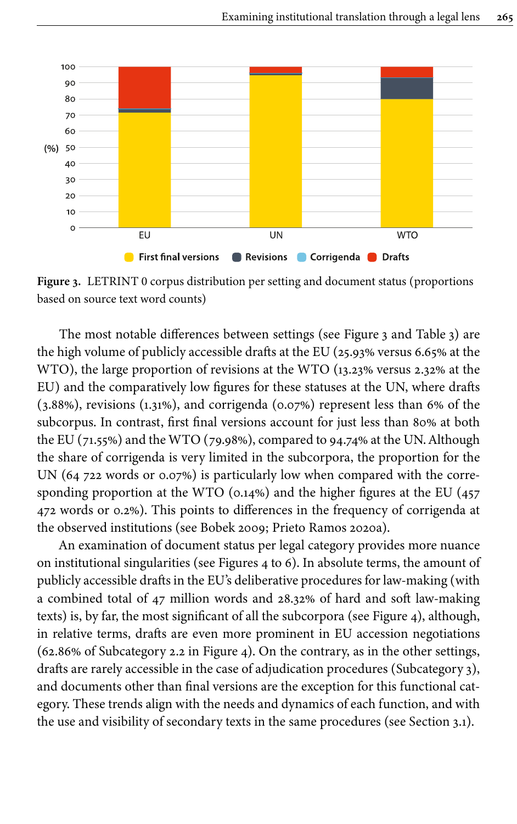<span id="page-11-0"></span>

**Figure 3.** LETRINT 0 corpus distribution per setting and document status (proportions based on source text word counts)

The most notable differences between settings (see [Figure](#page-11-0) 3 and [Table](#page-10-1) 3) are the high volume of publicly accessible drafts at the EU (25.93% versus 6.65% at the WTO), the large proportion of revisions at the WTO (13.23% versus 2.32% at the EU) and the comparatively low figures for these statuses at the UN, where drafts (3.88%), revisions (1.31%), and corrigenda (0.07%) represent less than 6% of the subcorpus. In contrast, first final versions account for just less than 80% at both the EU (71.55%) and the WTO (79.98%), compared to 94.74% at the UN. Although the share of corrigenda is very limited in the subcorpora, the proportion for the UN (64 722 words or 0.07%) is particularly low when compared with the corresponding proportion at the WTO (0.14%) and the higher figures at the EU (457 472 words or 0.2%). This points to differences in the frequency of corrigenda at the observed institutions (see [Bobek 2009;](#page-17-8) [Prieto Ramos 2020a](#page-18-11)).

An examination of document status per legal category provides more nuance on institutional singularities (see [Figures](#page-12-0) 4 to [6](#page-13-1)). In absolute terms, the amount of publicly accessible drafts in the EU's deliberative procedures for law-making (with a combined total of 47 million words and 28.32% of hard and soft law-making texts) is, by far, the most significant of all the subcorpora (see [Figure](#page-12-0) 4), although, in relative terms, drafts are even more prominent in EU accession negotiations (62.86% of Subcategory 2.2 in [Figure](#page-12-0) 4). On the contrary, as in the other settings, drafts are rarely accessible in the case of adjudication procedures (Subcategory 3), and documents other than final versions are the exception for this functional category. These trends align with the needs and dynamics of each function, and with the use and visibility of secondary texts in the same procedures (see [Section](#page-4-1) 3.1).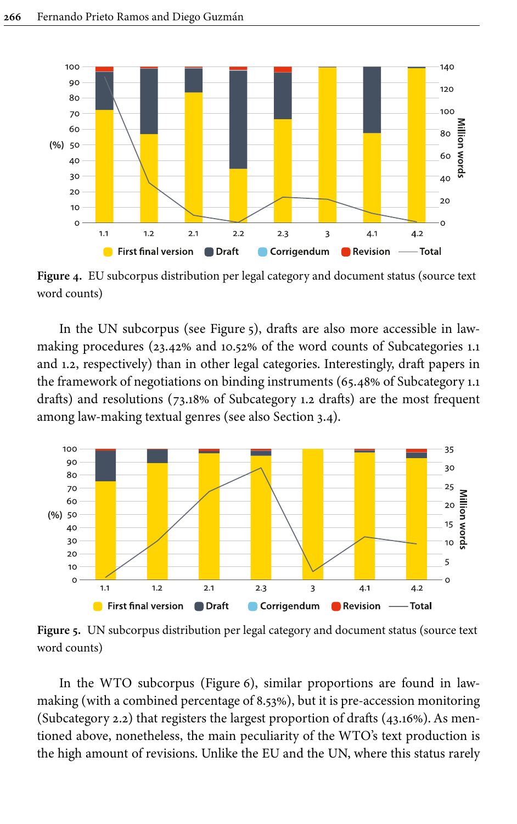<span id="page-12-0"></span>

**Figure 4.** EU subcorpus distribution per legal category and document status (source text word counts)

In the UN subcorpus (see [Figure](#page-12-1) 5), drafts are also more accessible in lawmaking procedures (23.42% and 10.52% of the word counts of Subcategories 1.1 and 1.2, respectively) than in other legal categories. Interestingly, draft papers in the framework of negotiations on binding instruments (65.48% of Subcategory 1.1 drafts) and resolutions (73.18% of Subcategory 1.2 drafts) are the most frequent among law-making textual genres (see also [Section](#page-13-0) 3.4).

<span id="page-12-1"></span>

**Figure 5.** UN subcorpus distribution per legal category and document status (source text word counts)

In the WTO subcorpus ([Figure](#page-13-1) 6), similar proportions are found in lawmaking (with a combined percentage of 8.53%), but it is pre-accession monitoring (Subcategory 2.2) that registers the largest proportion of drafts (43.16%). As mentioned above, nonetheless, the main peculiarity of the WTO's text production is the high amount of revisions. Unlike the EU and the UN, where this status rarely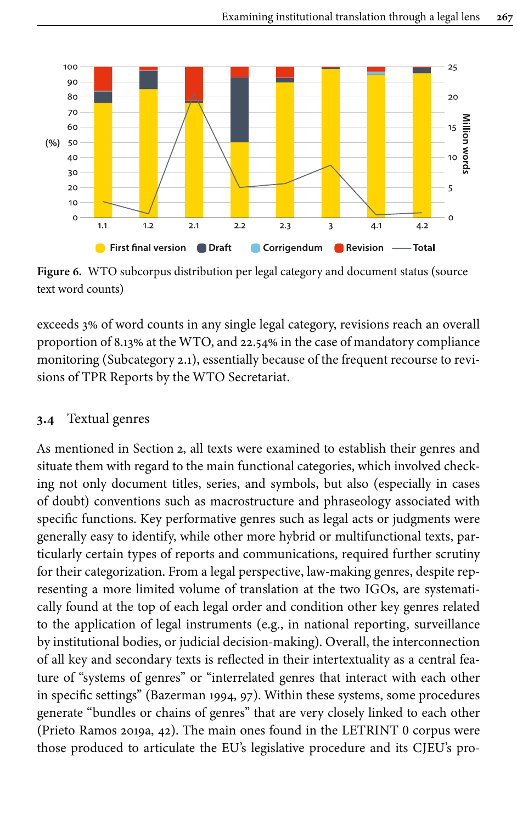<span id="page-13-1"></span>

**Figure 6.** WTO subcorpus distribution per legal category and document status (source text word counts)

exceeds 3% of word counts in any single legal category, revisions reach an overall proportion of 8.13% at the WTO, and 22.54% in the case of mandatory compliance monitoring (Subcategory 2.1), essentially because of the frequent recourse to revisions of TPR Reports by the WTO Secretariat.

## <span id="page-13-0"></span>**3.4** Textual genres

As mentioned in [Section](#page-2-0) 2, all texts were examined to establish their genres and situate them with regard to the main functional categories, which involved checking not only document titles, series, and symbols, but also (especially in cases of doubt) conventions such as macrostructure and phraseology associated with specific functions. Key performative genres such as legal acts or judgments were generally easy to identify, while other more hybrid or multifunctional texts, particularly certain types of reports and communications, required further scrutiny for their categorization. From a legal perspective, law-making genres, despite representing a more limited volume of translation at the two IGOs, are systematically found at the top of each legal order and condition other key genres related to the application of legal instruments (e.g., in national reporting, surveillance by institutional bodies, or judicial decision-making). Overall, the interconnection of all key and secondary texts is reflected in their intertextuality as a central feature of "systems of genres" or "interrelated genres that interact with each other in specific settings" [\(Bazerman 1994](#page-17-9), 97). Within these systems, some procedures generate "bundles or chains of genres" that are very closely linked to each other [\(Prieto Ramos 2019a,](#page-18-8) 42). The main ones found in the LETRINT 0 corpus were those produced to articulate the EU's legislative procedure and its CJEU's pro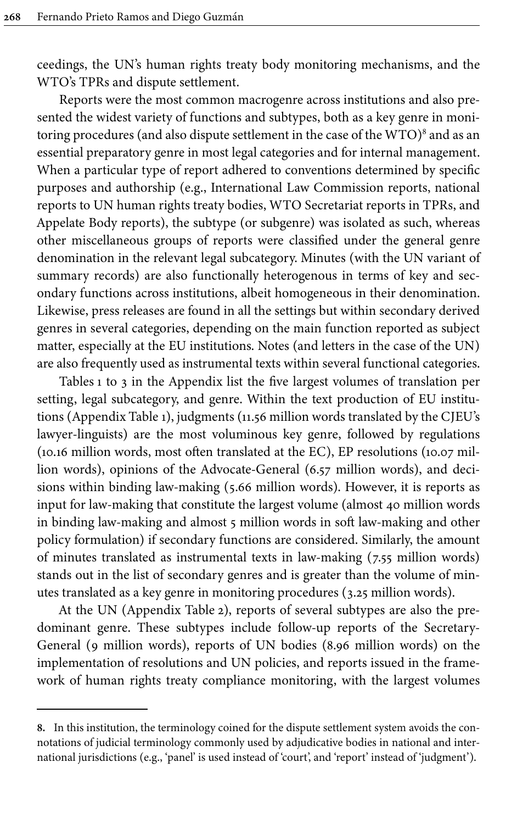ceedings, the UN's human rights treaty body monitoring mechanisms, and the WTO's TPRs and dispute settlement.

Reports were the most common macrogenre across institutions and also presented the widest variety of functions and subtypes, both as a key genre in monitoring procedures (and also dispute settlement in the case of the WTO) 8 and as an essential preparatory genre in most legal categories and for internal management. When a particular type of report adhered to conventions determined by specific purposes and authorship (e.g., International Law Commission reports, national reports to UN human rights treaty bodies, WTO Secretariat reports in TPRs, and Appelate Body reports), the subtype (or subgenre) was isolated as such, whereas other miscellaneous groups of reports were classified under the general genre denomination in the relevant legal subcategory. Minutes (with the UN variant of summary records) are also functionally heterogenous in terms of key and secondary functions across institutions, albeit homogeneous in their denomination. Likewise, press releases are found in all the settings but within secondary derived genres in several categories, depending on the main function reported as subject matter, especially at the EU institutions. Notes (and letters in the case of the UN) are also frequently used as instrumental texts within several functional categories.

[Tables](#page-19-3) 1 to [3](#page-24-0) in the Appendix list the five largest volumes of translation per setting, legal subcategory, and genre. Within the text production of EU institutions (Appendix [Table](#page-19-3) 1), judgments (11.56 million words translated by the CJEU's lawyer-linguists) are the most voluminous key genre, followed by regulations (10.16 million words, most often translated at the EC), EP resolutions (10.07 million words), opinions of the Advocate-General (6.57 million words), and decisions within binding law-making (5.66 million words). However, it is reports as input for law-making that constitute the largest volume (almost 40 million words in binding law-making and almost 5 million words in soft law-making and other policy formulation) if secondary functions are considered. Similarly, the amount of minutes translated as instrumental texts in law-making (7.55 million words) stands out in the list of secondary genres and is greater than the volume of minutes translated as a key genre in monitoring procedures (3.25 million words).

At the UN (Appendix [Table](#page-22-0) 2), reports of several subtypes are also the predominant genre. These subtypes include follow-up reports of the Secretary-General (9 million words), reports of UN bodies (8.96 million words) on the implementation of resolutions and UN policies, and reports issued in the framework of human rights treaty compliance monitoring, with the largest volumes

**<sup>8.</sup>** In this institution, the terminology coined for the dispute settlement system avoids the connotations of judicial terminology commonly used by adjudicative bodies in national and international jurisdictions (e.g., 'panel' is used instead of 'court', and 'report' instead of 'judgment').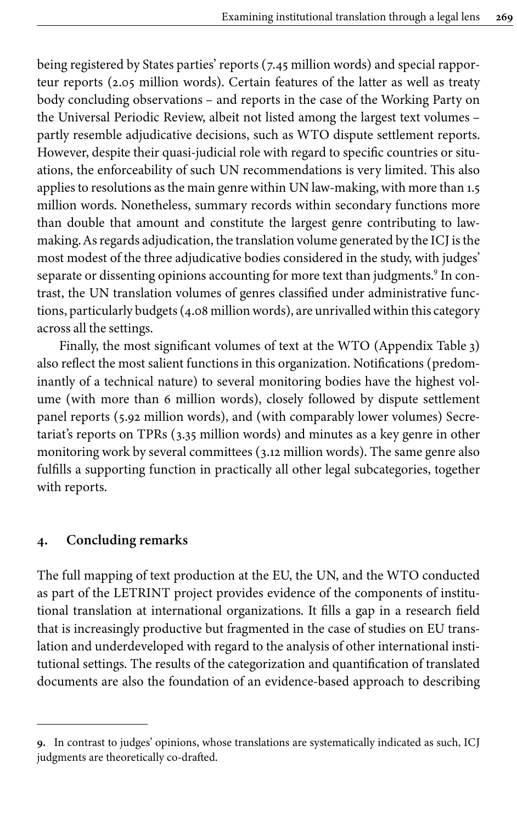being registered by States parties' reports (7.45 million words) and special rapporteur reports (2.05 million words). Certain features of the latter as well as treaty body concluding observations – and reports in the case of the Working Party on the Universal Periodic Review, albeit not listed among the largest text volumes – partly resemble adjudicative decisions, such as WTO dispute settlement reports. However, despite their quasi-judicial role with regard to specific countries or situations, the enforceability of such UN recommendations is very limited. This also applies to resolutions as the main genre within UN law-making, with more than 1.5 million words. Nonetheless, summary records within secondary functions more than double that amount and constitute the largest genre contributing to lawmaking. As regards adjudication, the translation volume generated by the ICJ is the most modest of the three adjudicative bodies considered in the study, with judges' separate or dissenting opinions accounting for more text than judgments.<sup>9</sup> In contrast, the UN translation volumes of genres classified under administrative functions, particularly budgets (4.08 million words), are unrivalled within this category across all the settings.

Finally, the most significant volumes of text at the WTO (Appendix [Table](#page-24-0) 3) also reflect the most salient functions in this organization. Notifications (predominantly of a technical nature) to several monitoring bodies have the highest volume (with more than 6 million words), closely followed by dispute settlement panel reports (5.92 million words), and (with comparably lower volumes) Secretariat's reports on TPRs (3.35 million words) and minutes as a key genre in other monitoring work by several committees (3.12 million words). The same genre also fulfills a supporting function in practically all other legal subcategories, together with reports.

#### **4. Concluding remarks**

The full mapping of text production at the EU, the UN, and the WTO conducted as part of the LETRINT project provides evidence of the components of institutional translation at international organizations. It fills a gap in a research field that is increasingly productive but fragmented in the case of studies on EU translation and underdeveloped with regard to the analysis of other international institutional settings. The results of the categorization and quantification of translated documents are also the foundation of an evidence-based approach to describing

**<sup>9.</sup>** In contrast to judges' opinions, whose translations are systematically indicated as such, ICJ judgments are theoretically co-drafted.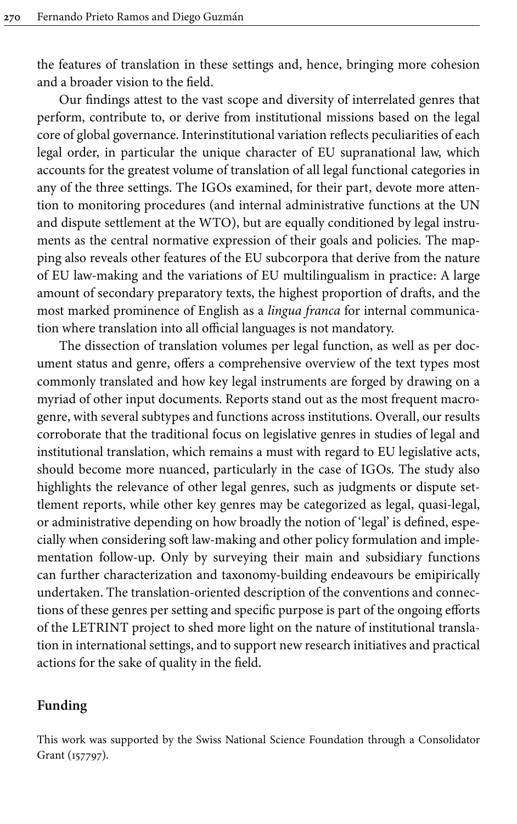the features of translation in these settings and, hence, bringing more cohesion and a broader vision to the field.

Our findings attest to the vast scope and diversity of interrelated genres that perform, contribute to, or derive from institutional missions based on the legal core of global governance. Interinstitutional variation reflects peculiarities of each legal order, in particular the unique character of EU supranational law, which accounts for the greatest volume of translation of all legal functional categories in any of the three settings. The IGOs examined, for their part, devote more attention to monitoring procedures (and internal administrative functions at the UN and dispute settlement at the WTO), but are equally conditioned by legal instruments as the central normative expression of their goals and policies. The mapping also reveals other features of the EU subcorpora that derive from the nature of EU law-making and the variations of EU multilingualism in practice: A large amount of secondary preparatory texts, the highest proportion of drafts, and the most marked prominence of English as a *lingua franca* for internal communication where translation into all official languages is not mandatory.

The dissection of translation volumes per legal function, as well as per document status and genre, offers a comprehensive overview of the text types most commonly translated and how key legal instruments are forged by drawing on a myriad of other input documents. Reports stand out as the most frequent macrogenre, with several subtypes and functions across institutions. Overall, our results corroborate that the traditional focus on legislative genres in studies of legal and institutional translation, which remains a must with regard to EU legislative acts, should become more nuanced, particularly in the case of IGOs. The study also highlights the relevance of other legal genres, such as judgments or dispute settlement reports, while other key genres may be categorized as legal, quasi-legal, or administrative depending on how broadly the notion of 'legal' is defined, especially when considering soft law-making and other policy formulation and implementation follow-up. Only by surveying their main and subsidiary functions can further characterization and taxonomy-building endeavours be emipirically undertaken. The translation-oriented description of the conventions and connections of these genres per setting and specific purpose is part of the ongoing efforts of the LETRINT project to shed more light on the nature of institutional translation in international settings, and to support new research initiatives and practical actions for the sake of quality in the field.

#### **Funding**

<span id="page-16-0"></span>This work was supported by the Swiss National Science Foundation through a Consolidator Grant [\(157797](#page-16-0)).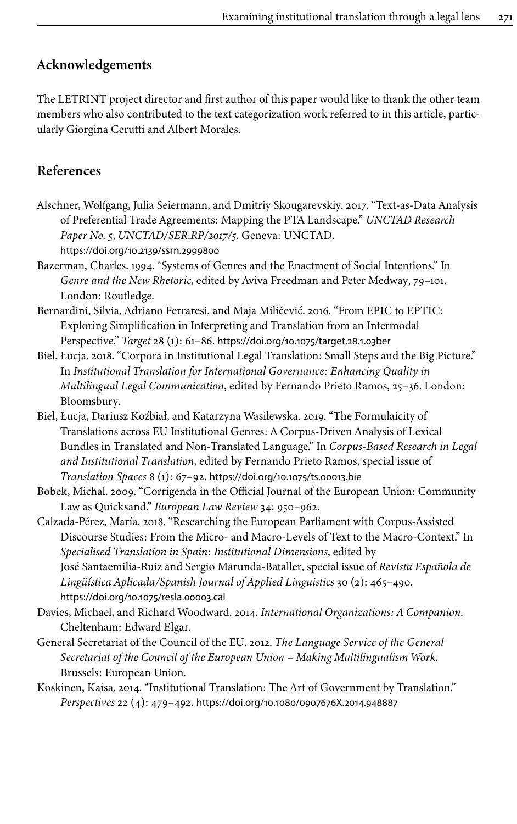# **Acknowledgements**

The LETRINT project director and first author of this paper would like to thank the other team members who also contributed to the text categorization work referred to in this article, particularly Giorgina Cerutti and Albert Morales.

# **References**

- <span id="page-17-4"></span>Alschner, Wolfgang, Julia Seiermann, and Dmitriy Skougarevskiy. 2017. "Text-as-Data Analysis of Preferential Trade Agreements: Mapping the PTA Landscape." *UNCTAD Research Paper No. 5, UNCTAD/SER.RP/2017/5*. Geneva: UNCTAD. [https://doi.org/10.2139/ssrn.2999800](https://doi.org/10.2139%2Fssrn.2999800)
- <span id="page-17-9"></span>Bazerman, Charles. 1994. "Systems of Genres and the Enactment of Social Intentions." In *Genre and the New Rhetoric*, edited by Aviva Freedman and Peter Medway, 79–101. London: Routledge.
- <span id="page-17-1"></span>Bernardini, Silvia, Adriano Ferraresi, and Maja Miličević. 2016. "From EPIC to EPTIC: Exploring Simplification in Interpreting and Translation from an Intermodal Perspective." *Target* 28 (1): 61–86. [https://doi.org/10.1075/target.28.1.03ber](https://doi.org/10.1075%2Ftarget.28.1.03ber)
- <span id="page-17-0"></span>Biel, Łucja. 2018. "Corpora in Institutional Legal Translation: Small Steps and the Big Picture." In *Institutional Translation for International Governance: Enhancing Quality in Multilingual Legal Communication*, edited by Fernando Prieto Ramos, 25–36. London: Bloomsbury.
- <span id="page-17-3"></span>Biel, Łucja, Dariusz Koźbiał, and Katarzyna Wasilewska. 2019. "The Formulaicity of Translations across EU Institutional Genres: A Corpus-Driven Analysis of Lexical Bundles in Translated and Non-Translated Language." In *Corpus-Based Research in Legal and Institutional Translation*, edited by Fernando Prieto Ramos, special issue of *Translation Spaces* 8 (1): 67–92. [https://doi.org/10.1075/ts.00013.bie](https://doi.org/10.1075%2Fts.00013.bie)
- <span id="page-17-8"></span>Bobek, Michal. 2009. "Corrigenda in the Official Journal of the European Union: Community Law as Quicksand." *European Law Review* 34: 950–962.
- <span id="page-17-2"></span>Calzada-Pérez, María. 2018. "Researching the European Parliament with Corpus-Assisted Discourse Studies: From the Micro- and Macro-Levels of Text to the Macro-Context." In *Specialised Translation in Spain: Institutional Dimensions*, edited by José Santaemilia-Ruiz and Sergio Marunda-Bataller, special issue of *Revista Española de Lingüística Aplicada/Spanish Journal of Applied Linguistics* 30 (2): 465–490. [https://doi.org/10.1075/resla.00003.cal](https://doi.org/10.1075%2Fresla.00003.cal)
- <span id="page-17-5"></span>Davies, Michael, and Richard Woodward. 2014. *International Organizations: A Companion*. Cheltenham: Edward Elgar.
- <span id="page-17-7"></span>General Secretariat of the Council of the EU. 2012. *The Language Service of the General Secretariat of the Council of the European Union – Making Multilingualism Work*. Brussels: European Union.
- <span id="page-17-6"></span>Koskinen, Kaisa. 2014. "Institutional Translation: The Art of Government by Translation." *Perspectives* 22 (4): 479–492. [https://doi.org/10.1080/0907676X.2014.948887](https://doi.org/10.1080%2F0907676X.2014.948887)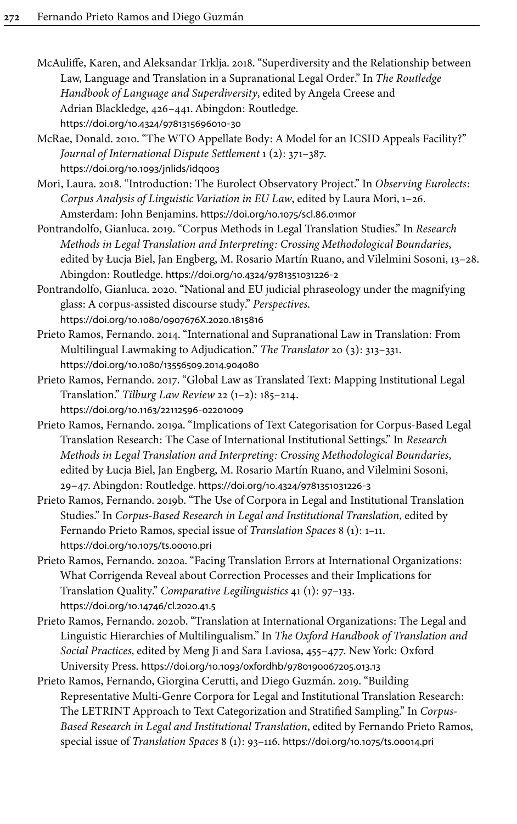- <span id="page-18-2"></span>McAuliffe, Karen, and Aleksandar Trklja. 2018. "Superdiversity and the Relationship between Law, Language and Translation in a Supranational Legal Order." In *The Routledge Handbook of Language and Superdiversity*, edited by Angela Creese and Adrian Blackledge, 426–441. Abingdon: Routledge. [https://doi.org/10.4324/9781315696010](https://doi.org/10.4324%2F9781315696010-30)‑30
- <span id="page-18-10"></span>McRae, Donald. 2010. "The WTO Appellate Body: A Model for an ICSID Appeals Facility?" *Journal of International Dispute Settlement* 1 (2): 371–387. [https://doi.org/10.1093/jnlids/idq003](https://doi.org/10.1093%2Fjnlids%2Fidq003)
- <span id="page-18-3"></span>Mori, Laura. 2018. "Introduction: The Eurolect Observatory Project." In *Observing Eurolects: Corpus Analysis of Linguistic Variation in EU Law*, edited by Laura Mori, 1–26. Amsterdam: John Benjamins. [https://doi.org/10.1075/scl.86.01mor](https://doi.org/10.1075%2Fscl.86.01mor)
- <span id="page-18-0"></span>Pontrandolfo, Gianluca. 2019. "Corpus Methods in Legal Translation Studies." In *Research Methods in Legal Translation and Interpreting: Crossing Methodological Boundaries*, edited by Łucja Biel, Jan Engberg, M. Rosario Martín Ruano, and Vilelmini Sosoni, 13–28. Abingdon: Routledge. [https://doi.org/10.4324/9781351031226](https://doi.org/10.4324%2F9781351031226-2)‑2
- <span id="page-18-4"></span>Pontrandolfo, Gianluca. 2020. "National and EU judicial phraseology under the magnifying glass: A corpus-assisted discourse study." *Perspectives*. [https://doi.org/10.1080/0907676X.2020.1815816](https://doi.org/10.1080%2F0907676X.2020.1815816)
- <span id="page-18-5"></span>Prieto Ramos, Fernando. 2014. "International and Supranational Law in Translation: From Multilingual Lawmaking to Adjudication." *The Translator* 20 (3): 313–331. [https://doi.org/10.1080/13556509.2014.904080](https://doi.org/10.1080%2F13556509.2014.904080)
- <span id="page-18-7"></span>Prieto Ramos, Fernando. 2017. "Global Law as Translated Text: Mapping Institutional Legal Translation." *Tilburg Law Review* 22 (1–2): 185–214. [https://doi.org/10.1163/22112596](https://doi.org/10.1163%2F22112596-02201009)‑02201009
- <span id="page-18-8"></span>Prieto Ramos, Fernando. 2019a. "Implications of Text Categorisation for Corpus-Based Legal Translation Research: The Case of International Institutional Settings." In *Research Methods in Legal Translation and Interpreting: Crossing Methodological Boundaries*, edited by Łucja Biel, Jan Engberg, M. Rosario Martín Ruano, and Vilelmini Sosoni, 29–47. Abingdon: Routledge. [https://doi.org/10.4324/9781351031226](https://doi.org/10.4324%2F9781351031226-3)‑3
- <span id="page-18-1"></span>Prieto Ramos, Fernando. 2019b. "The Use of Corpora in Legal and Institutional Translation Studies." In *Corpus-Based Research in Legal and Institutional Translation*, edited by Fernando Prieto Ramos, special issue of *Translation Spaces* 8 (1): 1–11. [https://doi.org/10.1075/ts.00010.pri](https://doi.org/10.1075%2Fts.00010.pri)
- <span id="page-18-11"></span>Prieto Ramos, Fernando. 2020a. "Facing Translation Errors at International Organizations: What Corrigenda Reveal about Correction Processes and their Implications for Translation Quality." *Comparative Legilinguistics* 41 (1): 97–133. [https://doi.org/10.14746/cl.2020.41.5](https://doi.org/10.14746%2Fcl.2020.41.5)
- <span id="page-18-9"></span>Prieto Ramos, Fernando. 2020b. "Translation at International Organizations: The Legal and Linguistic Hierarchies of Multilingualism." In *The Oxford Handbook of Translation and Social Practices*, edited by Meng Ji and Sara Laviosa, 455–477. New York: Oxford University Press. [https://doi.org/10.1093/oxfordhb/9780190067205.013.13](https://doi.org/10.1093%2Foxfordhb%2F9780190067205.013.13)
- <span id="page-18-6"></span>Prieto Ramos, Fernando, Giorgina Cerutti, and Diego Guzmán. 2019. "Building Representative Multi-Genre Corpora for Legal and Institutional Translation Research: The LETRINT Approach to Text Categorization and Stratified Sampling." In *Corpus-Based Research in Legal and Institutional Translation*, edited by Fernando Prieto Ramos, special issue of *Translation Spaces* 8 (1): 93–116. [https://doi.org/10.1075/ts.00014.pri](https://doi.org/10.1075%2Fts.00014.pri)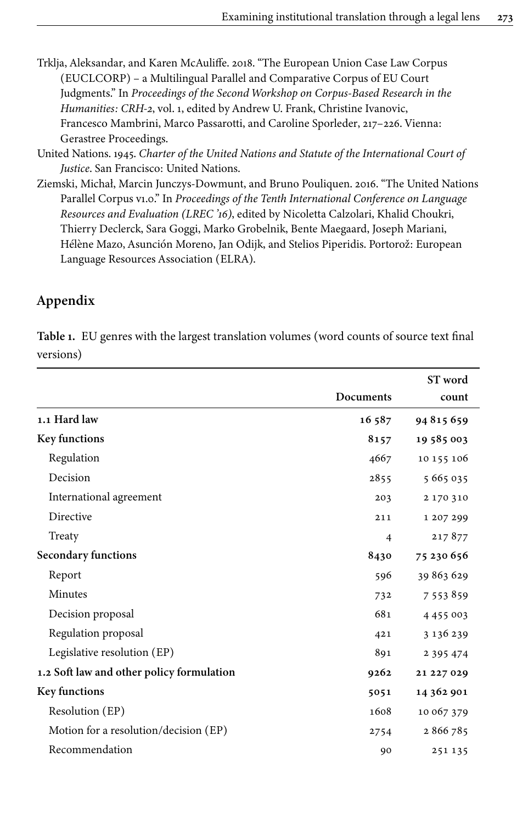- <span id="page-19-0"></span>Trklja, Aleksandar, and Karen McAuliffe. 2018. "The European Union Case Law Corpus (EUCLCORP) – a Multilingual Parallel and Comparative Corpus of EU Court Judgments." In *Proceedings of the Second Workshop on Corpus-Based Research in the Humanities: CRH-2*, vol. 1, edited by Andrew U. Frank, Christine Ivanovic, Francesco Mambrini, Marco Passarotti, and Caroline Sporleder, 217–226. Vienna: Gerastree Proceedings.
- <span id="page-19-2"></span>United Nations. 1945. *Charter of the United Nations and Statute of the International Court of Justice*. San Francisco: United Nations.
- <span id="page-19-1"></span>Ziemski, Michał, Marcin Junczys-Dowmunt, and Bruno Pouliquen. 2016. "The United Nations Parallel Corpus v1.0." In *Proceedings of the Tenth International Conference on Language Resources and Evaluation (LREC '16)*, edited by Nicoletta Calzolari, Khalid Choukri, Thierry Declerck, Sara Goggi, Marko Grobelnik, Bente Maegaard, Joseph Mariani, Hélène Mazo, Asunción Moreno, Jan Odijk, and Stelios Piperidis. Portorož: European Language Resources Association (ELRA).

# **Appendix**

<span id="page-19-3"></span>**Table 1.** EU genres with the largest translation volumes (word counts of source text final versions)

|                                           |                  | ST word       |
|-------------------------------------------|------------------|---------------|
|                                           | <b>Documents</b> | count         |
| 1.1 Hard law                              | 16587            | 94815659      |
| <b>Key functions</b>                      | 8157             | 19 585 003    |
| Regulation                                | 4667             | 10 155 106    |
| Decision                                  | 2855             | 5 665 035     |
| International agreement                   | 203              | 2 170 310     |
| Directive                                 | 211              | 1 207 299     |
| Treaty                                    | $\overline{4}$   | 217877        |
| Secondary functions                       | 8430             | 75 230 656    |
| Report                                    | 596              | 39 863 629    |
| Minutes                                   | 732              | 7 5 5 3 8 5 9 |
| Decision proposal                         | 681              | 4 4 5 5 0 0 3 |
| Regulation proposal                       | 421              | 3 136 239     |
| Legislative resolution (EP)               | 891              | 2 3 9 5 4 7 4 |
| 1.2 Soft law and other policy formulation | 9262             | 21 227 029    |
| <b>Key functions</b>                      | 5051             | 14 362 901    |
| Resolution (EP)                           | 1608             | 10 067 379    |
| Motion for a resolution/decision (EP)     | 2754             | 2866785       |
| Recommendation                            | 90               | 251 135       |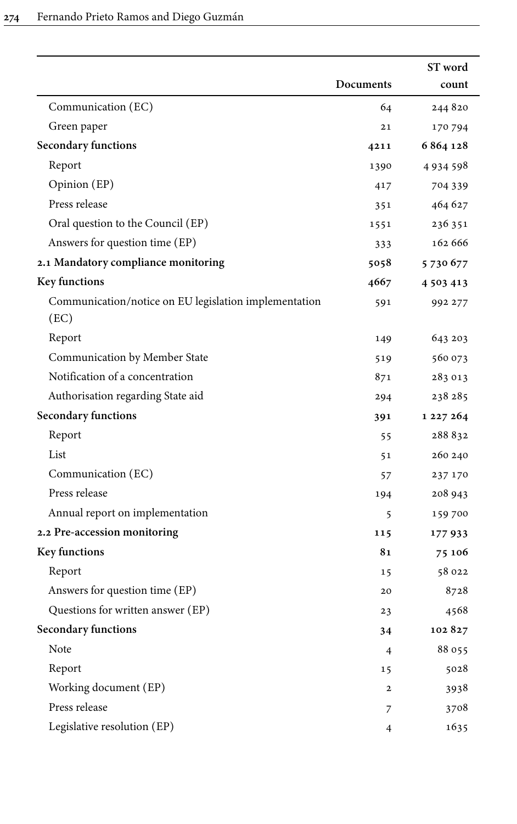|                                                               |                | ST word       |
|---------------------------------------------------------------|----------------|---------------|
|                                                               | Documents      | count         |
| Communication (EC)                                            | 64             | 244 820       |
| Green paper                                                   | 21             | 170 794       |
| Secondary functions                                           | 4211           | 6 864 128     |
| Report                                                        | 1390           | 4934598       |
| Opinion (EP)                                                  | 417            | 704 339       |
| Press release                                                 | 351            | 464 627       |
| Oral question to the Council (EP)                             | 1551           | 236 351       |
| Answers for question time (EP)                                | 333            | 162 666       |
| 2.1 Mandatory compliance monitoring                           | 5058           | 5730677       |
| Key functions                                                 | 4667           | 4 5 0 3 4 1 3 |
| Communication/notice on EU legislation implementation<br>(EC) | 591            | 992 277       |
| Report                                                        | 149            | 643 203       |
| Communication by Member State                                 | 519            | 560 073       |
| Notification of a concentration                               | 871            | 283 013       |
| Authorisation regarding State aid                             | 294            | 238 285       |
| Secondary functions                                           | 391            | 1 227 264     |
| Report                                                        | 55             | 288832        |
| List                                                          | 51             | 260 240       |
| Communication (EC)                                            | 57             | 237 170       |
| Press release                                                 | 194            | 208 943       |
| Annual report on implementation                               | 5              | 159 700       |
| 2.2 Pre-accession monitoring                                  | 115            | 177933        |
| Key functions                                                 | 81             | 75 106        |
| Report                                                        | 15             | 58 022        |
| Answers for question time (EP)                                | 20             | 8728          |
| Questions for written answer (EP)                             | 23             | 4568          |
| <b>Secondary functions</b>                                    | 34             | 102827        |
| Note                                                          | $\overline{4}$ | 88 055        |
| Report                                                        | 15             | 5028          |
| Working document (EP)                                         | $\mathbf{2}$   | 3938          |
| Press release                                                 | 7              | 3708          |
| Legislative resolution (EP)                                   | 4              | 1635          |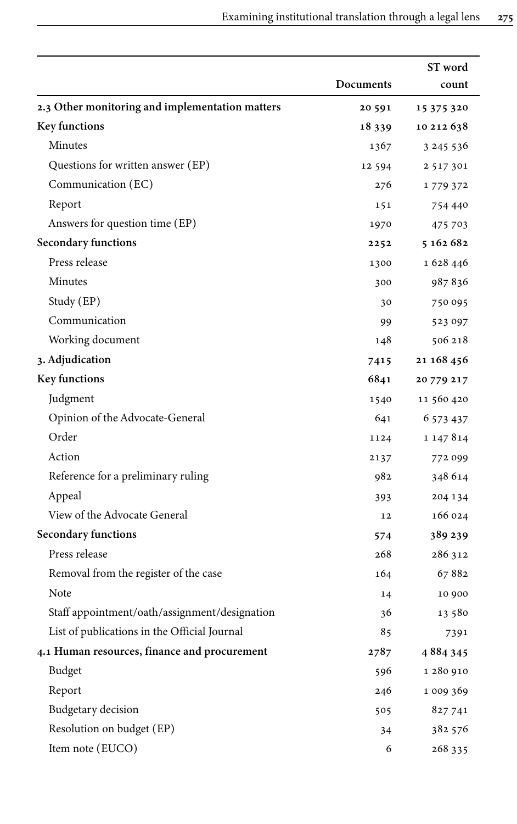|                                                 |           | ST word       |
|-------------------------------------------------|-----------|---------------|
|                                                 | Documents | count         |
| 2.3 Other monitoring and implementation matters | 20 591    | 15 375 320    |
| Key functions                                   | 18 339    | 10 212 638    |
| Minutes                                         | 1367      | 3 2 4 5 5 3 6 |
| Questions for written answer (EP)               | 12 5 9 4  | 2 5 1 7 3 0 1 |
| Communication (EC)                              | 276       | 1779372       |
| Report                                          | 151       | 754 440       |
| Answers for question time (EP)                  | 1970      | 475 703       |
| Secondary functions                             | 2252      | 5 162 682     |
| Press release                                   | 1300      | 1 628 446     |
| Minutes                                         | 300       | 987836        |
| Study (EP)                                      | 30        | 750 095       |
| Communication                                   | 99        | 523 097       |
| Working document                                | 148       | 506 218       |
| 3. Adjudication                                 | 7415      | 21 168 456    |
| Key functions                                   | 6841      | 20 779 217    |
| Judgment                                        | 1540      | 11 560 420    |
| Opinion of the Advocate-General                 | 641       | 6 573 437     |
| Order                                           | 1124      | 1 147 8 14    |
| Action                                          | 2137      | 772 099       |
| Reference for a preliminary ruling              | 982       | 348 614       |
| Appeal                                          | 393       | 204 134       |
| View of the Advocate General                    | 12        | 166 024       |
| Secondary functions                             | 574       | 389 239       |
| Press release                                   | 268       | 286 312       |
| Removal from the register of the case           | 164       | 67882         |
| Note                                            | 14        | 10 900        |
| Staff appointment/oath/assignment/designation   | 36        | 13 580        |
| List of publications in the Official Journal    | 85        | 7391          |
| 4.1 Human resources, finance and procurement    | 2787      | 4884345       |
| Budget                                          | 596       | 1 280 910     |
| Report                                          | 246       | 1 009 369     |
| <b>Budgetary</b> decision                       | 505       | 827 741       |
| Resolution on budget (EP)                       | 34        | 382 576       |
| Item note (EUCO)                                | 6         | 268 335       |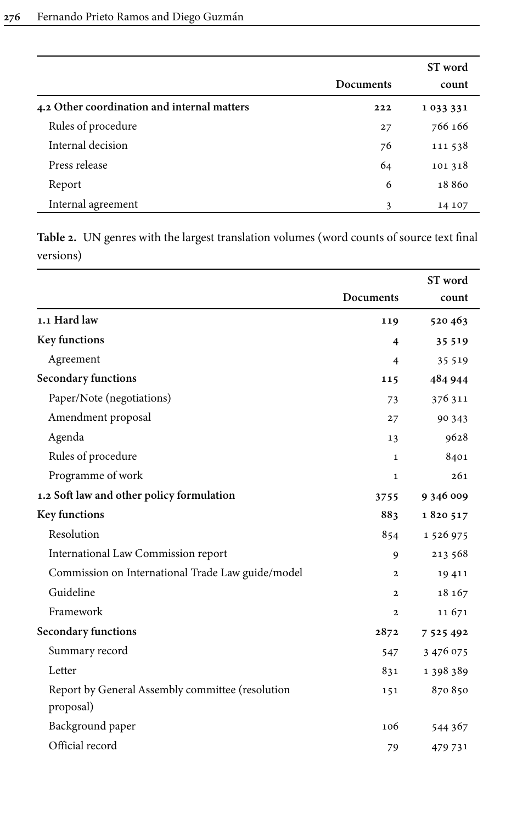|                                             |           | ST word |
|---------------------------------------------|-----------|---------|
|                                             | Documents | count   |
| 4.2 Other coordination and internal matters | 222       | 1033331 |
| Rules of procedure                          | 27        | 766 166 |
| Internal decision                           | 76        | 111 538 |
| Press release                               | 64        | 101 318 |
| Report                                      | 6         | 18860   |
| Internal agreement                          | 3         | 14 107  |

<span id="page-22-0"></span>**Table 2.** UN genres with the largest translation volumes (word counts of source text final versions)

|                                                   |                  | ST word       |
|---------------------------------------------------|------------------|---------------|
|                                                   | <b>Documents</b> | count         |
| 1.1 Hard law                                      | 119              | 520463        |
| Key functions                                     | 4                | 35 5 19       |
| Agreement                                         | 4                | 35 5 19       |
| Secondary functions                               | 115              | 484 944       |
| Paper/Note (negotiations)                         | 73               | 376 311       |
| Amendment proposal                                | 27               | 90 343        |
| Agenda                                            | 13               | 9628          |
| Rules of procedure                                | $\mathbf{1}$     | 8401          |
| Programme of work                                 | $\mathbf{1}$     | 261           |
| 1.2 Soft law and other policy formulation         | 3755             | 9 346 009     |
| Key functions                                     | 883              | 1820517       |
| Resolution                                        | 854              | 1 526 975     |
| International Law Commission report               | 9                | 213 568       |
| Commission on International Trade Law guide/model | $\mathbf{2}$     | 19411         |
| Guideline                                         | $\mathbf{2}$     | 18 167        |
| Framework                                         | $\mathbf{2}$     | 11671         |
| Secondary functions                               | 2872             | 7 5 2 5 4 9 2 |
| Summary record                                    | 547              | 3 476 075     |
| Letter                                            | 831              | 1 398 389     |
| Report by General Assembly committee (resolution  | 151              | 870 850       |
| proposal)                                         |                  |               |
| Background paper                                  | 106              | 544 367       |
| Official record                                   | 79               | 479 731       |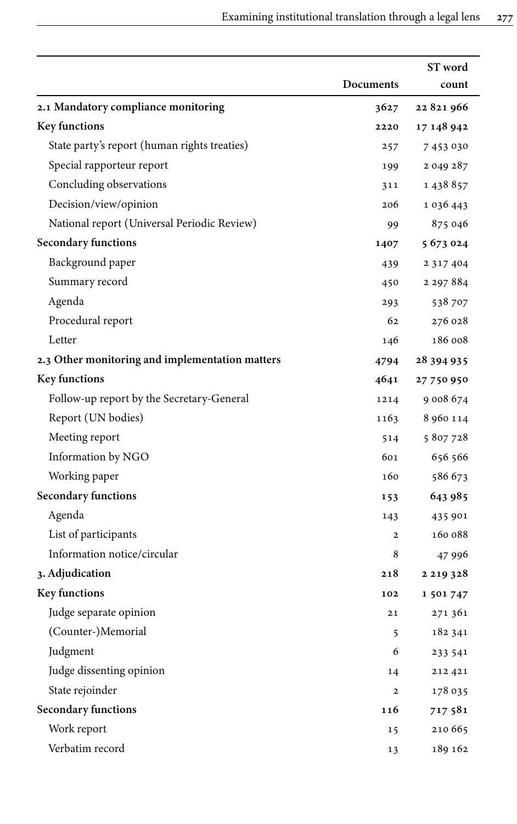|                                                 |              | ST word       |
|-------------------------------------------------|--------------|---------------|
|                                                 | Documents    | count         |
| 2.1 Mandatory compliance monitoring             | 3627         | 22821966      |
| Key functions                                   | 2220         | 17 148 942    |
| State party's report (human rights treaties)    | 257          | 7 453 030     |
| Special rapporteur report                       | 199          | 2 049 287     |
| Concluding observations                         | 311          | 1 438 857     |
| Decision/view/opinion                           | 206          | 1 0 3 6 4 4 3 |
| National report (Universal Periodic Review)     | 99           | 875 046       |
| <b>Secondary functions</b>                      | 1407         | 5 673 024     |
| Background paper                                | 439          | 2 3 1 7 4 0 4 |
| Summary record                                  | 450          | 2 2 9 7 8 8 4 |
| Agenda                                          | 293          | 538 707       |
| Procedural report                               | 62           | 276 028       |
| Letter                                          | 146          | 186 008       |
| 2.3 Other monitoring and implementation matters | 4794         | 28 394 935    |
| Key functions                                   | 4641         | 27 750 950    |
| Follow-up report by the Secretary-General       | 1214         | 9 008 674     |
| Report (UN bodies)                              | 1163         | 8 960 114     |
| Meeting report                                  | 514          | 5807728       |
| Information by NGO                              | 601          | 656 566       |
| Working paper                                   | 160          | 586 673       |
| Secondary functions                             | 153          | 643 985       |
| Agenda                                          | 143          | 435 901       |
| List of participants                            | $\mathbf{2}$ | 160 088       |
| Information notice/circular                     | 8            | 47 996        |
| 3. Adjudication                                 | 218          | 2 2 1 9 3 2 8 |
| Key functions                                   | 102          | 1 501 747     |
| Judge separate opinion                          | 21           | 271 361       |
| (Counter-)Memorial                              | 5            | 182 341       |
| Judgment                                        | 6            | 233 541       |
| Judge dissenting opinion                        | 14           | 212 421       |
| State rejoinder                                 | $\mathbf{2}$ | 178 035       |
| Secondary functions                             | 116          | 717 581       |
| Work report                                     | 15           | 210 665       |
| Verbatim record                                 | 13           | 189 162       |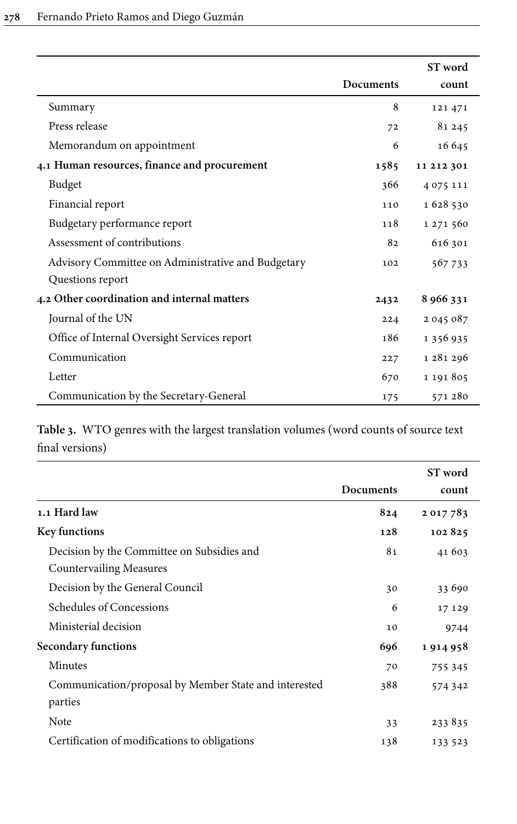|                                                    |           | ST word    |
|----------------------------------------------------|-----------|------------|
|                                                    | Documents | count      |
| Summary                                            | 8         | 121 471    |
| Press release                                      | 72        | 81 245     |
| Memorandum on appointment                          | 6         | 16 645     |
| 4.1 Human resources, finance and procurement       | 1585      | 11 212 301 |
| Budget                                             | 366       | 4075111    |
| Financial report                                   | 110       | 1628530    |
| Budgetary performance report                       | 118       | 1 271 560  |
| Assessment of contributions                        | 82        | 616 301    |
| Advisory Committee on Administrative and Budgetary | 102       | 567733     |
| Questions report                                   |           |            |
| 4.2 Other coordination and internal matters        | 2432      | 8 966 331  |
| Journal of the UN                                  | 224       | 2 045 087  |
| Office of Internal Oversight Services report       | 186       | 1 356 935  |
| Communication                                      | 227       | 1 281 296  |
| Letter                                             | 670       | 1 191 805  |
| Communication by the Secretary-General             | 175       | 571 280    |

<span id="page-24-0"></span>**Table 3.** WTO genres with the largest translation volumes (word counts of source text final versions)

|                                                       |           | ST word |
|-------------------------------------------------------|-----------|---------|
|                                                       | Documents | count   |
| 1.1 Hard law                                          | 824       | 2017783 |
| <b>Key functions</b>                                  | 128       | 102825  |
| Decision by the Committee on Subsidies and            | 81        | 41 603  |
| Countervailing Measures                               |           |         |
| Decision by the General Council                       | 30        | 33 690  |
| Schedules of Concessions                              | 6         | 17 129  |
| Ministerial decision                                  | 10        | 9744    |
| Secondary functions                                   | 696       | 1914958 |
| Minutes                                               | 70        | 755 345 |
| Communication/proposal by Member State and interested | 388       | 574 342 |
| parties                                               |           |         |
| Note                                                  | 33        | 233835  |
| Certification of modifications to obligations         | 138       | 133 523 |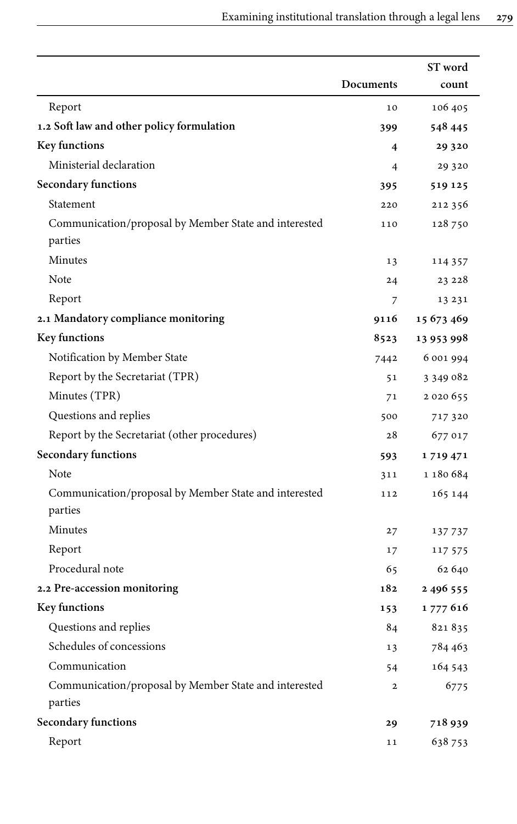|                                                                  |                         | ST word       |
|------------------------------------------------------------------|-------------------------|---------------|
|                                                                  | Documents               | count         |
| Report                                                           | 10                      | 106 405       |
| 1.2 Soft law and other policy formulation                        | 399                     | 548 445       |
| Key functions                                                    | $\overline{\mathbf{4}}$ | 29 3 20       |
| Ministerial declaration                                          | 4                       | 29 3 20       |
| Secondary functions                                              | 395                     | 519 125       |
| Statement                                                        | 220                     | 212 356       |
| Communication/proposal by Member State and interested            | 110                     | 128 750       |
| parties                                                          |                         |               |
| Minutes                                                          | 13                      | 114 357       |
| Note                                                             | 24                      | 23 228        |
| Report                                                           | 7                       | 13 23 1       |
| 2.1 Mandatory compliance monitoring                              | 9116                    | 15 673 469    |
| Key functions                                                    | 8523                    | 13 953 998    |
| Notification by Member State                                     | 7442                    | 6 001 994     |
| Report by the Secretariat (TPR)                                  | 51                      | 3 349 082     |
| Minutes (TPR)                                                    | 71                      | 2 0 2 0 6 5 5 |
| Questions and replies                                            | 500                     | 717 320       |
| Report by the Secretariat (other procedures)                     | 28                      | 677 017       |
| Secondary functions                                              | 593                     | 1719471       |
| Note                                                             | 311                     | 1 180 684     |
| Communication/proposal by Member State and interested<br>parties | 112                     | 165 144       |
| Minutes                                                          | 27                      | 137 737       |
| Report                                                           | 17                      | 117 575       |
| Procedural note                                                  | 65                      | 62 640        |
| 2.2 Pre-accession monitoring                                     | 182                     | 2496555       |
| Key functions                                                    | 153                     | 1 777 616     |
| Questions and replies                                            | 84                      | 821835        |
| Schedules of concessions                                         | 13                      | 784 463       |
| Communication                                                    | 54                      | 164 543       |
| Communication/proposal by Member State and interested            | $\mathbf{2}$            | 6775          |
| parties                                                          |                         |               |
| <b>Secondary functions</b>                                       | 29                      | 718939        |
| Report                                                           | 11                      | 638753        |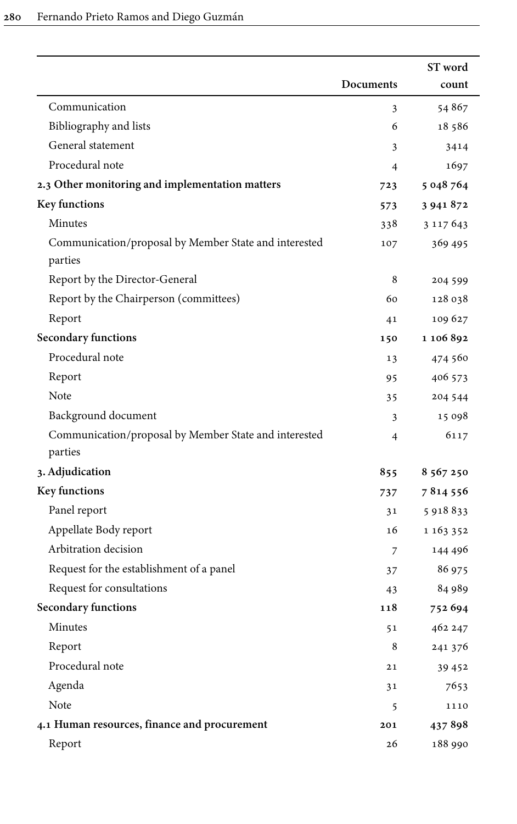|                                                                  |           | ST word       |
|------------------------------------------------------------------|-----------|---------------|
|                                                                  | Documents | count         |
| Communication                                                    | 3         | 54867         |
| Bibliography and lists                                           | 6         | 18586         |
| General statement                                                | 3         | 3414          |
| Procedural note                                                  | 4         | 1697          |
| 2.3 Other monitoring and implementation matters                  | 723       | 5 048 764     |
| Key functions                                                    | 573       | 3 941 872     |
| Minutes                                                          | 338       | 3 1 1 7 6 4 3 |
| Communication/proposal by Member State and interested<br>parties | 107       | 369 495       |
| Report by the Director-General                                   | 8         | 204 599       |
| Report by the Chairperson (committees)                           | 60        | 128 038       |
| Report                                                           | 41        | 109 627       |
| Secondary functions                                              | 150       | 1 106 892     |
| Procedural note                                                  | 13        | 474 560       |
| Report                                                           | 95        | 406 573       |
| Note                                                             | 35        | 204 544       |
| Background document                                              | 3         | 15 098        |
| Communication/proposal by Member State and interested<br>parties | 4         | 6117          |
| 3. Adjudication                                                  | 855       | 8 567 250     |
| Key functions                                                    | 737       | 7814556       |
| Panel report                                                     | 31        | 5 918 833     |
| Appellate Body report                                            | 16        | 1 163 352     |
| Arbitration decision                                             | 7         | 144 496       |
| Request for the establishment of a panel                         | 37        | 86 975        |
| Request for consultations                                        | 43        | 84 989        |
| Secondary functions                                              | 118       | 752 694       |
| Minutes                                                          | 51        | 462 247       |
| Report                                                           | 8         | 241 376       |
| Procedural note                                                  | 21        | 39 45 2       |
| Agenda                                                           | 31        | 7653          |
| Note                                                             | 5         | 1110          |
| 4.1 Human resources, finance and procurement                     | 201       | 437898        |
| Report                                                           | 26        | 188 990       |
|                                                                  |           |               |